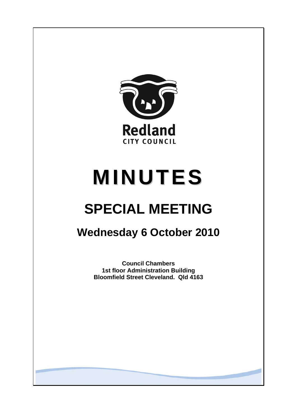

# **MINUTES**

# **SPECIAL MEETING**

## **Wednesday 6 October 2010**

**Council Chambers 1st floor Administration Building Bloomfield Street Cleveland. Qld 4163**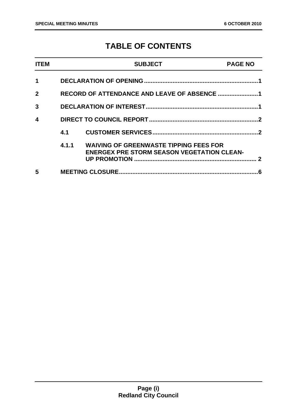### **TABLE OF CONTENTS**

| <b>ITEM</b>  |                                             | <b>SUBJECT</b>                                                                                     | <b>PAGE NO</b> |
|--------------|---------------------------------------------|----------------------------------------------------------------------------------------------------|----------------|
| $\mathbf 1$  |                                             |                                                                                                    |                |
| $\mathbf{2}$ | RECORD OF ATTENDANCE AND LEAVE OF ABSENCE 1 |                                                                                                    |                |
| $\mathbf{3}$ |                                             |                                                                                                    |                |
| 4            |                                             |                                                                                                    |                |
|              | 4.1                                         |                                                                                                    |                |
|              | 4.1.1                                       | <b>WAIVING OF GREENWASTE TIPPING FEES FOR</b><br><b>ENERGEX PRE STORM SEASON VEGETATION CLEAN-</b> | 2              |
| 5            |                                             |                                                                                                    | 6              |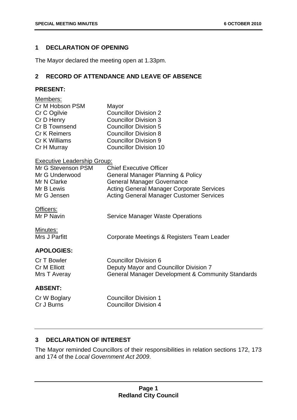#### <span id="page-2-0"></span>**1 DECLARATION OF OPENING**

The Mayor declared the meeting open at 1.33pm.

#### **2 RECORD OF ATTENDANCE AND LEAVE OF ABSENCE**

#### **PRESENT:**

| Members:                           |                                                              |
|------------------------------------|--------------------------------------------------------------|
| Cr M Hobson PSM                    | Mayor                                                        |
| Cr C Ogilvie                       | <b>Councillor Division 2</b>                                 |
| Cr D Henry                         | <b>Councillor Division 3</b>                                 |
| Cr B Townsend                      | <b>Councillor Division 5</b>                                 |
| <b>Cr K Reimers</b>                | <b>Councillor Division 8</b>                                 |
| Cr K Williams                      | <b>Councillor Division 9</b>                                 |
| Cr H Murray                        | <b>Councillor Division 10</b>                                |
| <b>Executive Leadership Group:</b> |                                                              |
| Mr G Stevenson PSM                 | <b>Chief Executive Officer</b>                               |
| Mr G Underwood                     | General Manager Planning & Policy                            |
| Mr N Clarke                        | <b>General Manager Governance</b>                            |
| Mr B Lewis                         | <b>Acting General Manager Corporate Services</b>             |
| Mr G Jensen                        | <b>Acting General Manager Customer Services</b>              |
| Officers:                          |                                                              |
| Mr P Navin                         | <b>Service Manager Waste Operations</b>                      |
| Minutes:                           |                                                              |
| Mrs J Parfitt                      | Corporate Meetings & Registers Team Leader                   |
| <b>APOLOGIES:</b>                  |                                                              |
| Cr T Bowler                        | <b>Councillor Division 6</b>                                 |
| <b>Cr M Elliott</b>                | Deputy Mayor and Councillor Division 7                       |
| Mrs T Averay                       | <b>General Manager Development &amp; Community Standards</b> |
| <b>ABSENT:</b>                     |                                                              |
| Cr W Boglary                       | <b>Councillor Division 1</b>                                 |
| Cr J Burns                         | <b>Councillor Division 4</b>                                 |
|                                    |                                                              |

#### **3 DECLARATION OF INTEREST**

The Mayor reminded Councillors of their responsibilities in relation sections 172, 173 and 174 of the *Local Government Act 2009*.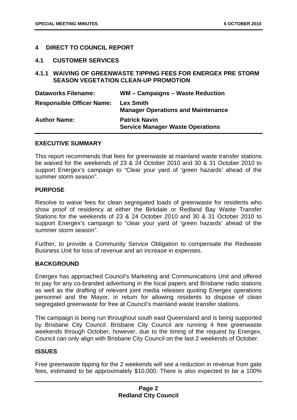#### <span id="page-3-0"></span>**4 DIRECT TO COUNCIL REPORT**

#### **4.1 CUSTOMER SERVICES**

#### **4.1.1 WAIVING OF GREENWASTE TIPPING FEES FOR ENERGEX PRE STORM SEASON VEGETATION CLEAN-UP PROMOTION**

| <b>Dataworks Filename:</b>       | WM - Campaigns - Waste Reduction                                |
|----------------------------------|-----------------------------------------------------------------|
| <b>Responsible Officer Name:</b> | <b>Lex Smith</b><br><b>Manager Operations and Maintenance</b>   |
| <b>Author Name:</b>              | <b>Patrick Navin</b><br><b>Service Manager Waste Operations</b> |

#### **EXECUTIVE SUMMARY**

This report recommends that fees for greenwaste at mainland waste transfer stations be waived for the weekends of 23 & 24 October 2010 and 30 & 31 October 2010 to support Energex's campaign to "Clear your yard of 'green hazards' ahead of the summer storm season".

#### **PURPOSE**

Resolve to waive fees for clean segregated loads of greenwaste for residents who show proof of residency at either the Birkdale or Redland Bay Waste Transfer Stations for the weekends of 23 & 24 October 2010 and 30 & 31 October 2010 to support Energex's campaign to "clear your yard of 'green hazards' ahead of the summer storm season".

Further, to provide a Community Service Obligation to compensate the Redwaste Business Unit for loss of revenue and an increase in expenses.

#### **BACKGROUND**

Energex has approached Council's Marketing and Communications Unit and offered to pay for any co-branded advertising in the local papers and Brisbane radio stations as well as the drafting of relevant joint media releases quoting Energex operations personnel and the Mayor, in return for allowing residents to dispose of clean segregated greenwaste for free at Council's mainland waste transfer stations.

The campaign is being run throughout south east Queensland and is being supported by Brisbane City Council. Brisbane City Council are running 4 free greenwaste weekends through October, however, due to the timing of the request by Energex, Council can only align with Brisbane City Council on the last 2 weekends of October.

#### **ISSUES**

Free greenwaste tipping for the 2 weekends will see a reduction in revenue from gate fees, estimated to be approximately \$10,000. There is also expected to be a 100%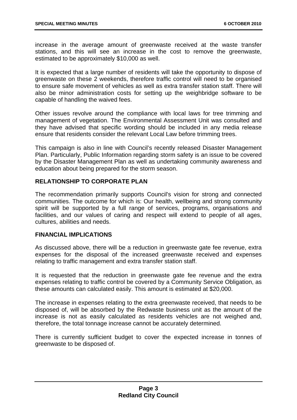increase in the average amount of greenwaste received at the waste transfer stations, and this will see an increase in the cost to remove the greenwaste, estimated to be approximately \$10,000 as well.

It is expected that a large number of residents will take the opportunity to dispose of greenwaste on these 2 weekends, therefore traffic control will need to be organised to ensure safe movement of vehicles as well as extra transfer station staff. There will also be minor administration costs for setting up the weighbridge software to be capable of handling the waived fees.

Other issues revolve around the compliance with local laws for tree trimming and management of vegetation. The Environmental Assessment Unit was consulted and they have advised that specific wording should be included in any media release ensure that residents consider the relevant Local Law before trimming trees.

This campaign is also in line with Council's recently released Disaster Management Plan. Particularly, Public Information regarding storm safety is an issue to be covered by the Disaster Management Plan as well as undertaking community awareness and education about being prepared for the storm season.

#### **RELATIONSHIP TO CORPORATE PLAN**

The recommendation primarily supports Council's vision for strong and connected communities. The outcome for which is: Our health, wellbeing and strong community spirit will be supported by a full range of services, programs, organisations and facilities, and our values of caring and respect will extend to people of all ages, cultures, abilities and needs.

#### **FINANCIAL IMPLICATIONS**

As discussed above, there will be a reduction in greenwaste gate fee revenue, extra expenses for the disposal of the increased greenwaste received and expenses relating to traffic management and extra transfer station staff.

It is requested that the reduction in greenwaste gate fee revenue and the extra expenses relating to traffic control be covered by a Community Service Obligation, as these amounts can calculated easily. This amount is estimated at \$20,000.

The increase in expenses relating to the extra greenwaste received, that needs to be disposed of, will be absorbed by the Redwaste business unit as the amount of the increase is not as easily calculated as residents vehicles are not weighed and, therefore, the total tonnage increase cannot be accurately determined.

There is currently sufficient budget to cover the expected increase in tonnes of greenwaste to be disposed of.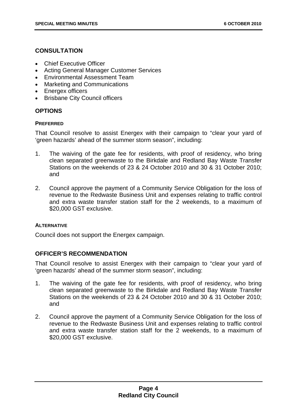#### **CONSULTATION**

- Chief Executive Officer
- Acting General Manager Customer Services
- Environmental Assessment Team
- Marketing and Communications
- Energex officers
- Brisbane City Council officers

#### **OPTIONS**

#### **PREFERRED**

That Council resolve to assist Energex with their campaign to "clear your yard of 'green hazards' ahead of the summer storm season", including:

- 1. The waiving of the gate fee for residents, with proof of residency, who bring clean separated greenwaste to the Birkdale and Redland Bay Waste Transfer Stations on the weekends of 23 & 24 October 2010 and 30 & 31 October 2010; and
- 2. Council approve the payment of a Community Service Obligation for the loss of revenue to the Redwaste Business Unit and expenses relating to traffic control and extra waste transfer station staff for the 2 weekends, to a maximum of \$20,000 GST exclusive.

#### **ALTERNATIVE**

Council does not support the Energex campaign.

#### **OFFICER'S RECOMMENDATION**

That Council resolve to assist Energex with their campaign to "clear your yard of 'green hazards' ahead of the summer storm season", including:

- 1. The waiving of the gate fee for residents, with proof of residency, who bring clean separated greenwaste to the Birkdale and Redland Bay Waste Transfer Stations on the weekends of 23 & 24 October 2010 and 30 & 31 October 2010; and
- 2. Council approve the payment of a Community Service Obligation for the loss of revenue to the Redwaste Business Unit and expenses relating to traffic control and extra waste transfer station staff for the 2 weekends, to a maximum of \$20,000 GST exclusive.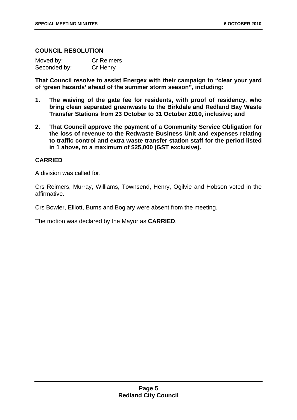#### **COUNCIL RESOLUTION**

| Moved by:    | <b>Cr Reimers</b> |
|--------------|-------------------|
| Seconded by: | Cr Henry          |

**That Council resolve to assist Energex with their campaign to "clear your yard of 'green hazards' ahead of the summer storm season", including:** 

- **1. The waiving of the gate fee for residents, with proof of residency, who bring clean separated greenwaste to the Birkdale and Redland Bay Waste Transfer Stations from 23 October to 31 October 2010, inclusive; and**
- **2. That Council approve the payment of a Community Service Obligation for the loss of revenue to the Redwaste Business Unit and expenses relating to traffic control and extra waste transfer station staff for the period listed in 1 above, to a maximum of \$25,000 (GST exclusive).**

#### **CARRIED**

A division was called for.

Crs Reimers, Murray, Williams, Townsend, Henry, Ogilvie and Hobson voted in the affirmative.

Crs Bowler, Elliott, Burns and Boglary were absent from the meeting.

The motion was declared by the Mayor as **CARRIED**.